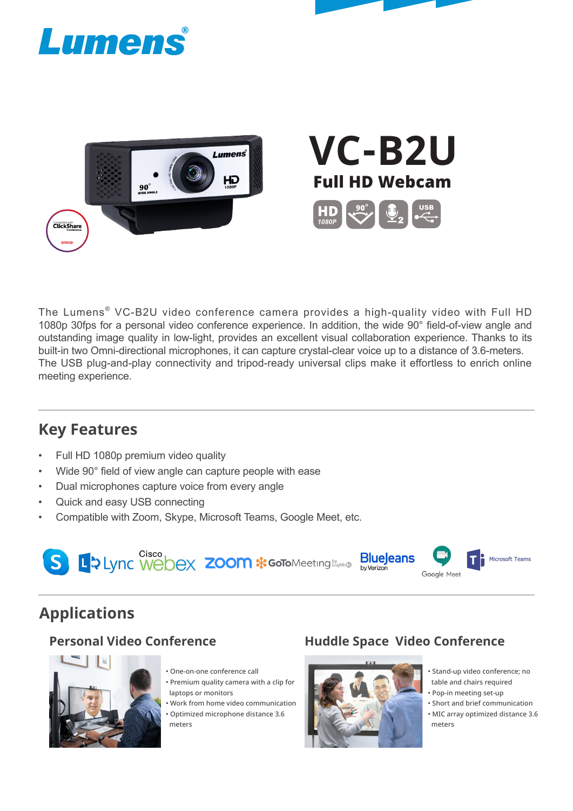



# **VC-B2U** Full HD Webcam $\begin{picture}(4,4) \put(0,0){\line(1,0){10}} \put(1,0){\line(1,0){10}} \put(1,0){\line(1,0){10}} \put(1,0){\line(1,0){10}} \put(1,0){\line(1,0){10}} \put(1,0){\line(1,0){10}} \put(1,0){\line(1,0){10}} \put(1,0){\line(1,0){10}} \put(1,0){\line(1,0){10}} \put(1,0){\line(1,0){10}} \put(1,0){\line(1,0){10}} \put(1,0){\line(1,0){10}} \put(1,0){$

The Lumens® VC-B2U video conference camera provides a high-quality video with Full HD 1080p 30fps for a personal video conference experience. In addition, the wide 90° field-of-view angle and outstanding image quality in low-light, provides an excellent visual collaboration experience. Thanks to its built-in two Omni-directional microphones, it can capture crystal-clear voice up to a distance of 3.6-meters. The USB plug-and-play connectivity and tripod-ready universal clips make it effortless to enrich online meeting experience.

### **Key Features**

- Full HD 1080p premium video quality
- Wide 90° field of view angle can capture people with ease
- Dual microphones capture voice from every angle
- Quick and easy USB connecting
- Compatible with Zoom, Skype, Microsoft Teams, Google Meet, etc.



### **Applications**



- One-on-one conference call
- Premium quality camera with a clip for laptops or monitors
- Work from home video communication • Optimized microphone distance 3.6

### meters

### **Personal Video Conference Huddle Space Video Conference**



• Stand-up video conference; no table and chairs required

• Pop-in meeting set-up

• Short and brief communication • MIC array optimized distance 3.6 meters